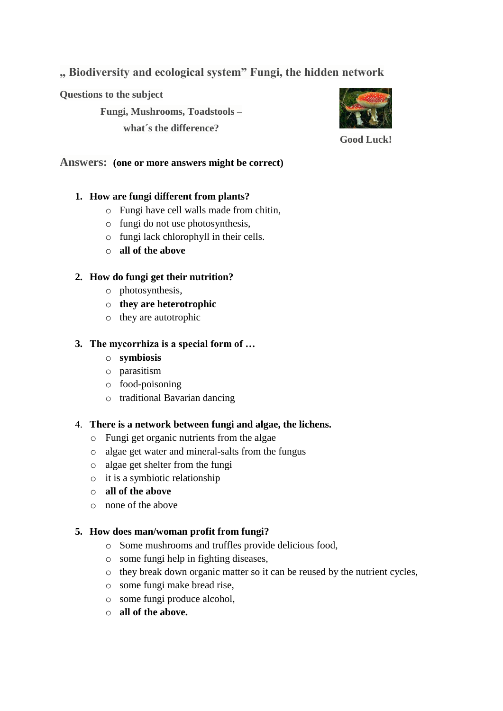**" Biodiversity and ecological system" Fungi, the hidden network**

**Questions to the subject**

**Fungi, Mushrooms, Toadstools –**

**what´s the difference?**



**Good Luck!**

**Answers: (one or more answers might be correct)**

# **1. How are fungi different from plants?**

- o Fungi have cell walls made from chitin,
- o fungi do not use photosynthesis,
- o fungi lack chlorophyll in their cells.
- o **all of the above**

# **2. How do fungi get their nutrition?**

- o photosynthesis,
- o **they are heterotrophic**
- o they are autotrophic

## **3. The mycorrhiza is a special form of …**

- o **symbiosis**
- o parasitism
- o food-poisoning
- o traditional Bavarian dancing
- 4. **There is a network between fungi and algae, the lichens.**
	- o Fungi get organic nutrients from the algae
	- o algae get water and mineral-salts from the fungus
	- o algae get shelter from the fungi
	- o it is a symbiotic relationship
	- o **all of the above**
	- o none of the above

# **5. How does man/woman profit from fungi?**

- o Some mushrooms and truffles provide delicious food,
- o some fungi help in fighting diseases,
- o they break down organic matter so it can be reused by the nutrient cycles,
- o some fungi make bread rise,
- o some fungi produce alcohol,
- o **all of the above.**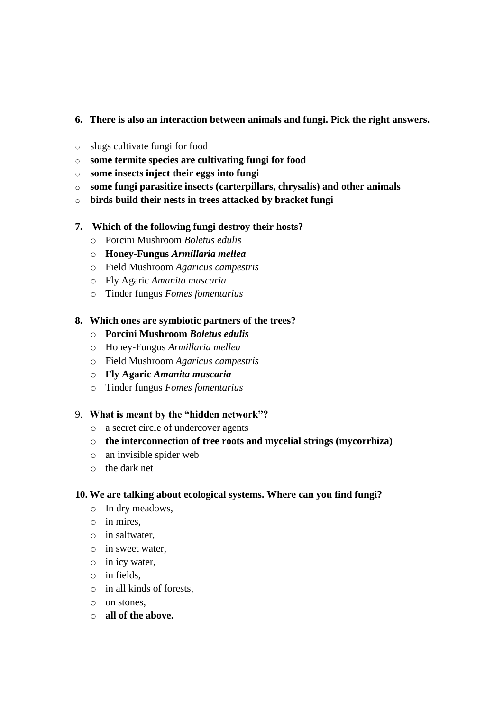## **6. There is also an interaction between animals and fungi. Pick the right answers.**

- o slugs cultivate fungi for food
- o **some termite species are cultivating fungi for food**
- o **some insects inject their eggs into fungi**
- o **some fungi parasitize insects (carterpillars, chrysalis) and other animals**
- o **birds build their nests in trees attacked by bracket fungi**

## **7. Which of the following fungi destroy their hosts?**

- o Porcini Mushroom *Boletus edulis*
- o **Honey-Fungus** *Armillaria mellea*
- o Field Mushroom *Agaricus campestris*
- o Fly Agaric *Amanita muscaria*
- o Tinder fungus *Fomes fomentarius*

#### **8. Which ones are symbiotic partners of the trees?**

- o **Porcini Mushroom** *Boletus edulis*
- o Honey-Fungus *Armillaria mellea*
- o Field Mushroom *Agaricus campestris*
- o **Fly Agaric** *Amanita muscaria*
- o Tinder fungus *Fomes fomentarius*

#### 9. **What is meant by the "hidden network"?**

- o a secret circle of undercover agents
- o **the interconnection of tree roots and mycelial strings (mycorrhiza)**
- o an invisible spider web
- o the dark net

#### **10. We are talking about ecological systems. Where can you find fungi?**

- o In dry meadows,
- o in mires,
- o in saltwater,
- o in sweet water,
- o in icy water,
- o in fields,
- o in all kinds of forests,
- o on stones,
- o **all of the above.**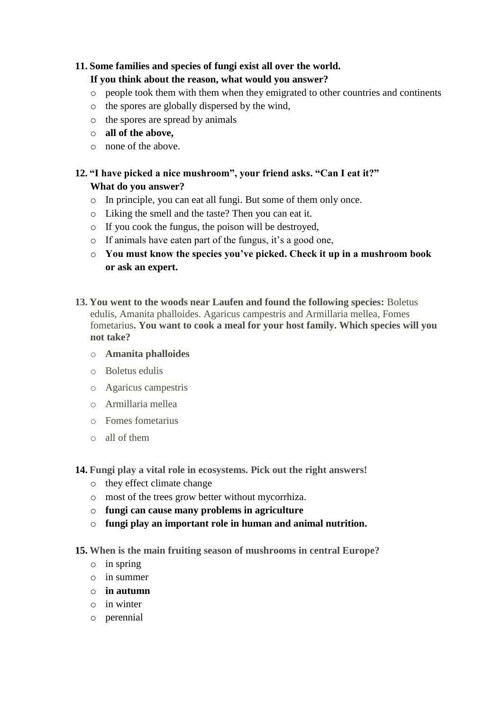## **11. Some families and species of fungi exist all over the world.**

## **If you think about the reason, what would you answer?**

- o people took them with them when they emigrated to other countries and continents
- o the spores are globally dispersed by the wind,
- o the spores are spread by animals
- o **all of the above,**
- o none of the above.

# **12. "I have picked a nice mushroom", your friend asks. "Can I eat it?" What do you answer?**

- o In principle, you can eat all fungi. But some of them only once.
- o Liking the smell and the taste? Then you can eat it.
- o If you cook the fungus, the poison will be destroyed,
- o If animals have eaten part of the fungus, it's a good one,
- o **You must know the species you've picked. Check it up in a mushroom book or ask an expert.**
- **13. You went to the woods near Laufen and found the following species:** Boletus edulis, Amanita phalloides. Agaricus campestris and Armillaria mellea, Fomes fometarius**. You want to cook a meal for your host family. Which species will you not take?**
	- o **Amanita phalloides**
	- o Boletus edulis
	- o Agaricus campestris
	- o Armillaria mellea
	- o Fomes fometarius
	- o all of them
- **14. Fungi play a vital role in ecosystems. Pick out the right answers!**
	- o they effect climate change
	- o most of the trees grow better without mycorrhiza.
	- o **fungi can cause many problems in agriculture**
	- o **fungi play an important role in human and animal nutrition.**
- **15. When is the main fruiting season of mushrooms in central Europe?**
	- o in spring
	- o in summer
	- o **in autumn**
	- o in winter
	- o perennial